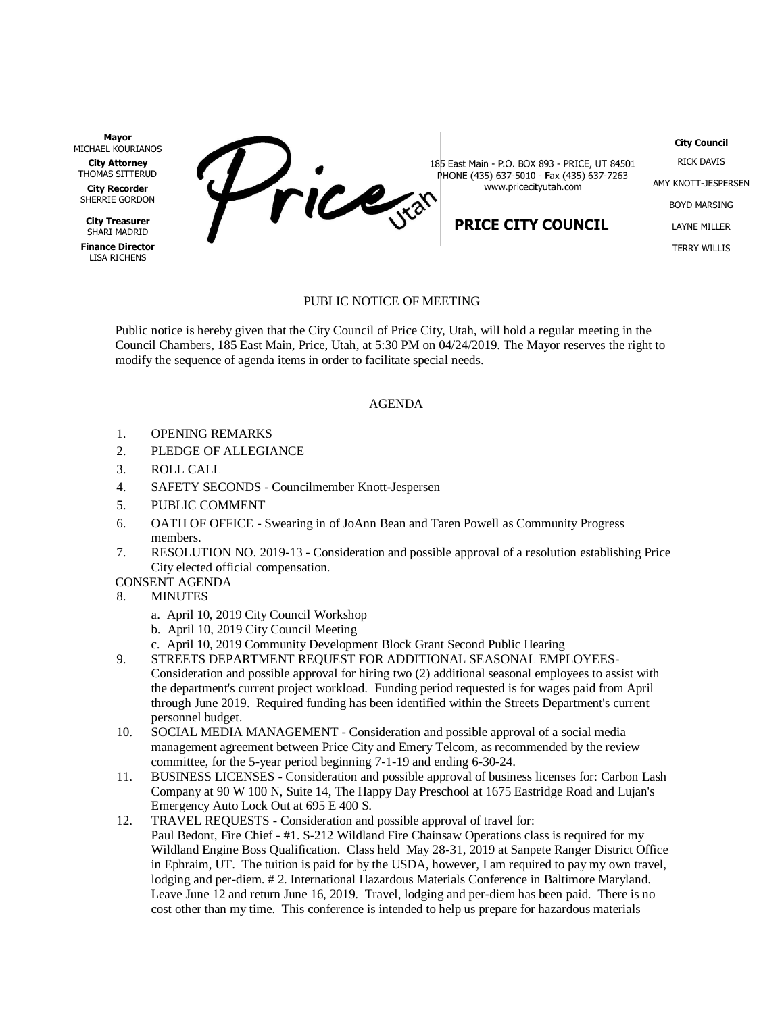**Mayor** MICHAEL KOURIANOS

**City Attorney** THOMAS SITTERUD

**City Recorder** SHERRIE GORDON

**City Treasurer** SHARI MADRID

**Finance Director** LISA RICHENS

Price

185 East Main - P.O. BOX 893 - PRICE, UT 84501 PHONE (435) 637-5010 - Fax (435) 637-7263 www.pricecityutah.com

## **PRICE CITY COUNCIL**

**City Council** RICK DAVIS AMY KNOTT-JESPERSEN BOYD MARSING LAYNE MILLER TERRY WILLIS

## PUBLIC NOTICE OF MEETING

Public notice is hereby given that the City Council of Price City, Utah, will hold a regular meeting in the Council Chambers, 185 East Main, Price, Utah, at 5:30 PM on 04/24/2019. The Mayor reserves the right to modify the sequence of agenda items in order to facilitate special needs.

## AGENDA

- 1. OPENING REMARKS
- 2. PLEDGE OF ALLEGIANCE
- 3. ROLL CALL
- 4. SAFETY SECONDS Councilmember Knott-Jespersen
- 5. PUBLIC COMMENT
- 6. OATH OF OFFICE Swearing in of JoAnn Bean and Taren Powell as Community Progress members.
- 7. RESOLUTION NO. 2019-13 Consideration and possible approval of a resolution establishing Price City elected official compensation.

CONSENT AGENDA

- 8. MINUTES
	- a. April 10, 2019 City Council Workshop
	- b. April 10, 2019 City Council Meeting
	- c. April 10, 2019 Community Development Block Grant Second Public Hearing
- 9. STREETS DEPARTMENT REQUEST FOR ADDITIONAL SEASONAL EMPLOYEES-Consideration and possible approval for hiring two (2) additional seasonal employees to assist with the department's current project workload. Funding period requested is for wages paid from April through June 2019. Required funding has been identified within the Streets Department's current personnel budget.
- 10. SOCIAL MEDIA MANAGEMENT Consideration and possible approval of a social media management agreement between Price City and Emery Telcom, as recommended by the review committee, for the 5-year period beginning 7-1-19 and ending 6-30-24.
- 11. BUSINESS LICENSES Consideration and possible approval of business licenses for: Carbon Lash Company at 90 W 100 N, Suite 14, The Happy Day Preschool at 1675 Eastridge Road and Lujan's Emergency Auto Lock Out at 695 E 400 S.
- 12. TRAVEL REQUESTS Consideration and possible approval of travel for: Paul Bedont, Fire Chief - #1. S-212 Wildland Fire Chainsaw Operations class is required for my Wildland Engine Boss Qualification. Class held May 28-31, 2019 at Sanpete Ranger District Office in Ephraim, UT. The tuition is paid for by the USDA, however, I am required to pay my own travel, lodging and per-diem. # 2. International Hazardous Materials Conference in Baltimore Maryland. Leave June 12 and return June 16, 2019. Travel, lodging and per-diem has been paid. There is no cost other than my time. This conference is intended to help us prepare for hazardous materials